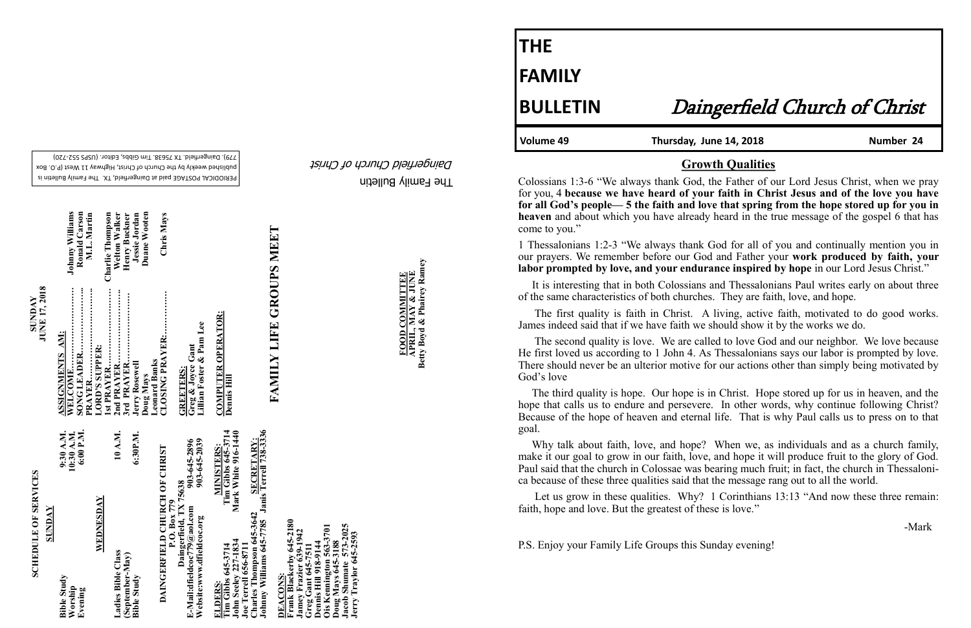The Family Bulletin Daingerfield Church of Christ

# **SCHEDULE OF SERVICES SCHEDULE OF SERVICES**

PERIODICAL POSTAGE paid at Daingerfield, TX. The Family Bulletin is published weekly by the Church of Christ, Highway 11 West (P.O. Box 720) - 779). Daingerfield. TX 75638. Tim Gibbs, Editor. (USPS 552

**SUNDAY**<br>**JUNE 17, 2018 JUNE 17, 2018**  **FOOD COMMITTEE**<br>APRIL, MAY & JUNE<br>Betty Boyd & Phairey Ramey **Betty Boyd & Phairey Ramey APRIL, MAY & JUNE FOOD COMMITTEE**

| <b>SUNDAY</b>                                                                                                                                                                                                     |                                                                     |                                                                   |                                          |
|-------------------------------------------------------------------------------------------------------------------------------------------------------------------------------------------------------------------|---------------------------------------------------------------------|-------------------------------------------------------------------|------------------------------------------|
| <b>Bible Study</b><br>Worship<br>Evening                                                                                                                                                                          | 6:00 P.M.<br>9:30 A.M.<br>10:30 A.M.                                | <b>ASSIGNMENTS AM:</b><br>WELCOME                                 | <b>Johnny Williams</b><br>Ronald Carson  |
| WEDNESDAY                                                                                                                                                                                                         |                                                                     | <br>PRAYER<br>LORD'S SUPPER:                                      | M.L. Martin                              |
| Ladies Bible Class                                                                                                                                                                                                | 10 A.M.                                                             | <br>Ist PRAYER<br>2nd PRAYER                                      | <b>Charlie Thompson</b><br>Welton Walker |
| $(S$ eptember-May)<br><b>Bible Study</b>                                                                                                                                                                          | 6:30P.M.                                                            | <br>3rd PRAYER.<br><b>Jerry Rosewell</b>                          | Jessie Jordan<br>Henry Buckner           |
| DAINGERFIELD CHURCH OF CHRIST                                                                                                                                                                                     |                                                                     | CLOSING PRAYER:<br><b>Leonard Banks</b><br>Doug Mays              | Duane Wooten<br>Chris Mays               |
| Daingerfield, TX 75638<br>P.O. Box 779<br>E-Mail:dfieldcoc779@aol.com<br>Website:www.dfieldcoc.org                                                                                                                | 903-645-2039<br>903-645-2896                                        | Lillian Foster & Pam Lee<br>Greg & Joyce Gant<br><b>GREETERS:</b> |                                          |
| <b>John Seeley 227-1834</b><br>Tim Gibbs 645-3714<br>ELDERS:                                                                                                                                                      | $T$ im Gibbs $645-3714$<br>Mark White 916-1440<br><b>MINISTERS:</b> | COMPUTER OPERATOR:<br>Dennis Hill                                 |                                          |
| Johnny Williams 645-7785 Janis Terrell 738-3336<br>Charles Thompson 645-3642<br><b>Joe Terrell 656-8711</b>                                                                                                       | <b>SECRETARY:</b>                                                   |                                                                   |                                          |
| Frank Blackerby 645-2180<br>Jacob Shumate 573-2025<br>Ois Kennington 563-3701<br>Jamey Frazier 639-1942<br>Jerry Traylor 645-2593<br>Doug Mays 645-3188<br>Greg Gant 645-7511<br>Dennis Hill 918-9144<br>DEACONS: |                                                                     | FAMILY LIFE GROUPS MEET                                           |                                          |

1 Thessalonians 1:2-3 "We always thank God for all of you and continually mention you in our prayers. We remember before our God and Father your **work produced by faith, your labor prompted by love, and your endurance inspired by hope** in our Lord Jesus Christ."

**THE FAMILY**

Volume 49 **Thursday, June 14, 2018** Number 24

## **BULLETIN** Daingerfield Church of Christ

#### **Growth Qualities**

Colossians 1:3-6 "We always thank God, the Father of our Lord Jesus Christ, when we pray for you, 4 **because we have heard of your faith in Christ Jesus and of the love you have for all God's people— 5 the faith and love that spring from the hope stored up for you in heaven** and about which you have already heard in the true message of the gospel 6 that has come to you."

Let us grow in these qualities. Why? 1 Corinthians 13:13 "And now these three remain: faith, hope and love. But the greatest of these is love."

 It is interesting that in both Colossians and Thessalonians Paul writes early on about three of the same characteristics of both churches. They are faith, love, and hope.

 The first quality is faith in Christ. A living, active faith, motivated to do good works. James indeed said that if we have faith we should show it by the works we do.

 The second quality is love. We are called to love God and our neighbor. We love because He first loved us according to 1 John 4. As Thessalonians says our labor is prompted by love. There should never be an ulterior motive for our actions other than simply being motivated by God's love

 The third quality is hope. Our hope is in Christ. Hope stored up for us in heaven, and the hope that calls us to endure and persevere. In other words, why continue following Christ? Because of the hope of heaven and eternal life. That is why Paul calls us to press on to that goal.

 Why talk about faith, love, and hope? When we, as individuals and as a church family, make it our goal to grow in our faith, love, and hope it will produce fruit to the glory of God. Paul said that the church in Colossae was bearing much fruit; in fact, the church in Thessalonica because of these three qualities said that the message rang out to all the world.

-Mark

P.S. Enjoy your Family Life Groups this Sunday evening!